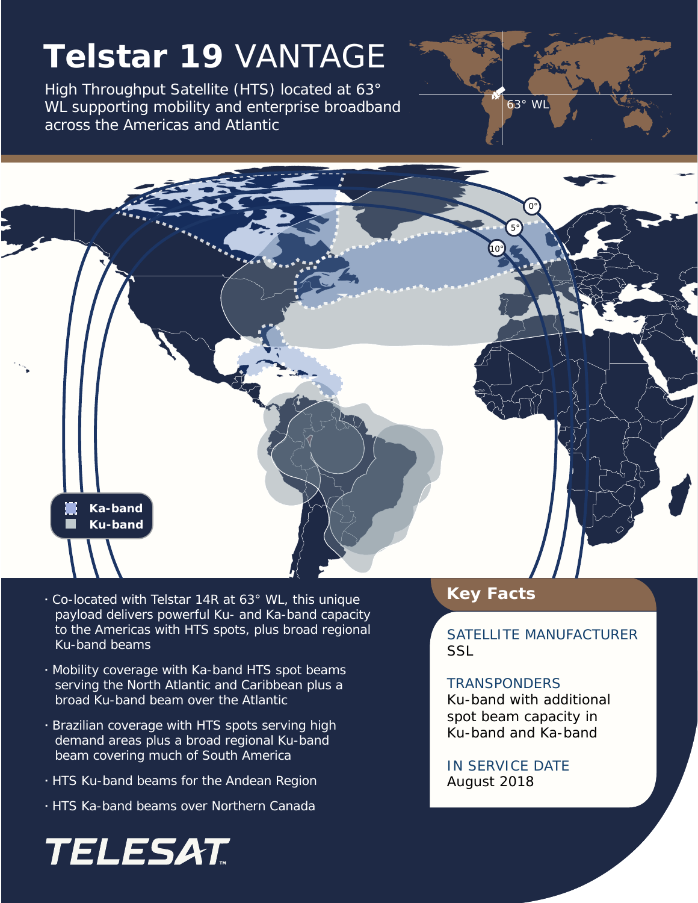# **Telstar 19** VANTAGE

High Throughput Satellite (HTS) located at 63° WL supporting mobility and enterprise broadband across the Americas and Atlantic





- *<sup>∙</sup>* Co-located with Telstar 14R at 63° WL, this unique **Key Facts** payload delivers powerful Ku- and Ka-band capacity to the Americas with HTS spots, plus broad regional Ku-band beams
- *∙* Mobility coverage with Ka-band HTS spot beams serving the North Atlantic and Caribbean plus a broad Ku-band beam over the Atlantic
- *∙* Brazilian coverage with HTS spots serving high demand areas plus a broad regional Ku-band beam covering much of South America
- *∙* HTS Ku-band beams for the Andean Region
- *∙* HTS Ka-band beams over Northern Canada

## TELESAT

SATELLITE MANUFACTURER **SSL** 

#### **TRANSPONDERS**

Ku-band with additional spot beam capacity in Ku-band and Ka-band

### IN SERVICE DATE August 2018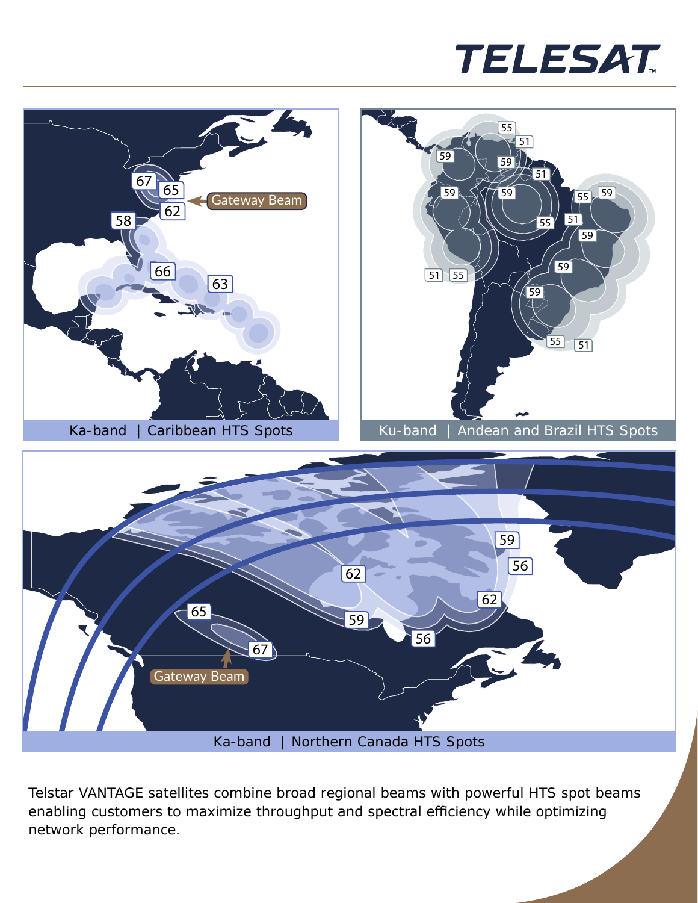



Telstar VANTAGE satellites combine broad regional beams with powerful HTS spot beams enabling customers to maximize throughput and spectral efficiency while optimizing network performance.